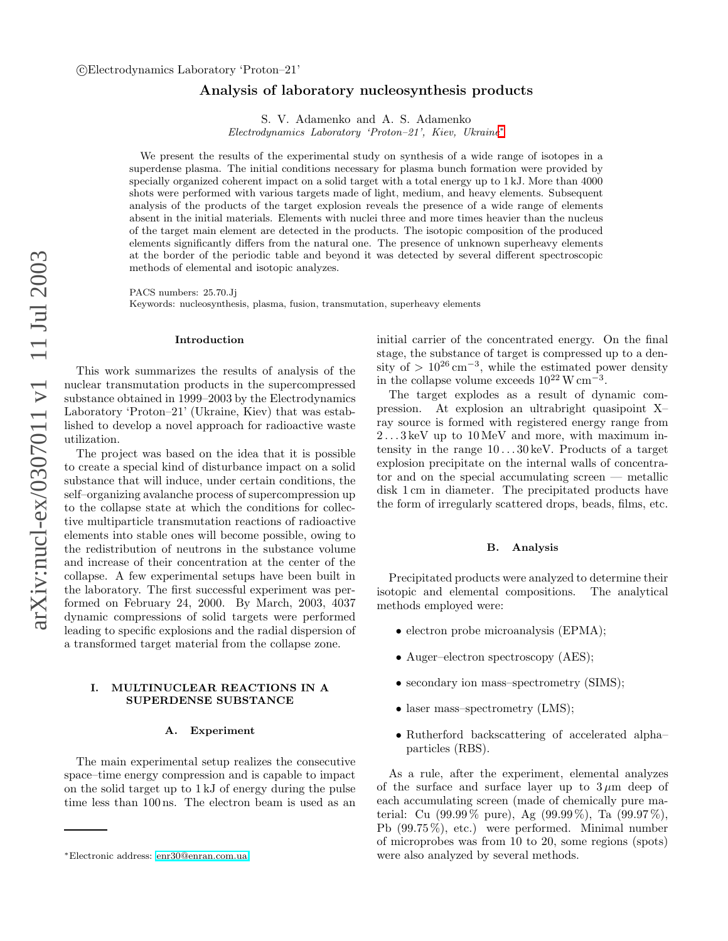# Analysis of laboratory nucleosynthesis products

S. V. Adamenko and A. S. Adamenko

Electrodynamics Laboratory 'Proton–21', Kiev, Ukraine [∗](#page-0-0)

We present the results of the experimental study on synthesis of a wide range of isotopes in a superdense plasma. The initial conditions necessary for plasma bunch formation were provided by specially organized coherent impact on a solid target with a total energy up to 1 kJ. More than 4000 shots were performed with various targets made of light, medium, and heavy elements. Subsequent analysis of the products of the target explosion reveals the presence of a wide range of elements absent in the initial materials. Elements with nuclei three and more times heavier than the nucleus of the target main element are detected in the products. The isotopic composition of the produced elements significantly differs from the natural one. The presence of unknown superheavy elements at the border of the periodic table and beyond it was detected by several different spectroscopic methods of elemental and isotopic analyzes.

PACS numbers: 25.70.Jj

Keywords: nucleosynthesis, plasma, fusion, transmutation, superheavy elements

#### Introduction

This work summarizes the results of analysis of the nuclear transmutation products in the supercompressed substance obtained in 1999–2003 by the Electrodynamics Laboratory 'Proton–21' (Ukraine, Kiev) that was established to develop a novel approach for radioactive waste utilization.

The project was based on the idea that it is possible to create a special kind of disturbance impact on a solid substance that will induce, under certain conditions, the self–organizing avalanche process of supercompression up to the collapse state at which the conditions for collective multiparticle transmutation reactions of radioactive elements into stable ones will become possible, owing to the redistribution of neutrons in the substance volume and increase of their concentration at the center of the collapse. A few experimental setups have been built in the laboratory. The first successful experiment was performed on February 24, 2000. By March, 2003, 4037 dynamic compressions of solid targets were performed leading to specific explosions and the radial dispersion of a transformed target material from the collapse zone.

### I. MULTINUCLEAR REACTIONS IN A SUPERDENSE SUBSTANCE

#### A. Experiment

The main experimental setup realizes the consecutive space–time energy compression and is capable to impact on the solid target up to 1 kJ of energy during the pulse time less than 100 ns. The electron beam is used as an initial carrier of the concentrated energy. On the final stage, the substance of target is compressed up to a density of >  $10^{26}$  cm<sup>-3</sup>, while the estimated power density in the collapse volume exceeds  $10^{22}$  W cm<sup>-3</sup>.

The target explodes as a result of dynamic compression. At explosion an ultrabright quasipoint X– ray source is formed with registered energy range from  $2 \dots 3 \text{ keV}$  up to  $10 \text{ MeV}$  and more, with maximum intensity in the range  $10...30 \,\text{keV}$ . Products of a target explosion precipitate on the internal walls of concentrator and on the special accumulating screen — metallic disk 1 cm in diameter. The precipitated products have the form of irregularly scattered drops, beads, films, etc.

#### B. Analysis

Precipitated products were analyzed to determine their isotopic and elemental compositions. The analytical methods employed were:

- electron probe microanalysis (EPMA);
- Auger–electron spectroscopy (AES);
- secondary ion mass–spectrometry (SIMS);
- laser mass-spectrometry (LMS);
- Rutherford backscattering of accelerated alpha– particles (RBS).

As a rule, after the experiment, elemental analyzes of the surface and surface layer up to  $3 \mu m$  deep of each accumulating screen (made of chemically pure material: Cu (99.99 % pure), Ag (99.99 %), Ta (99.97 %), Pb (99.75 %), etc.) were performed. Minimal number of microprobes was from 10 to 20, some regions (spots) were also analyzed by several methods.

<span id="page-0-0"></span><sup>∗</sup>Electronic address: [enr30@enran.com.ua](mailto:enr30@enran.com.ua)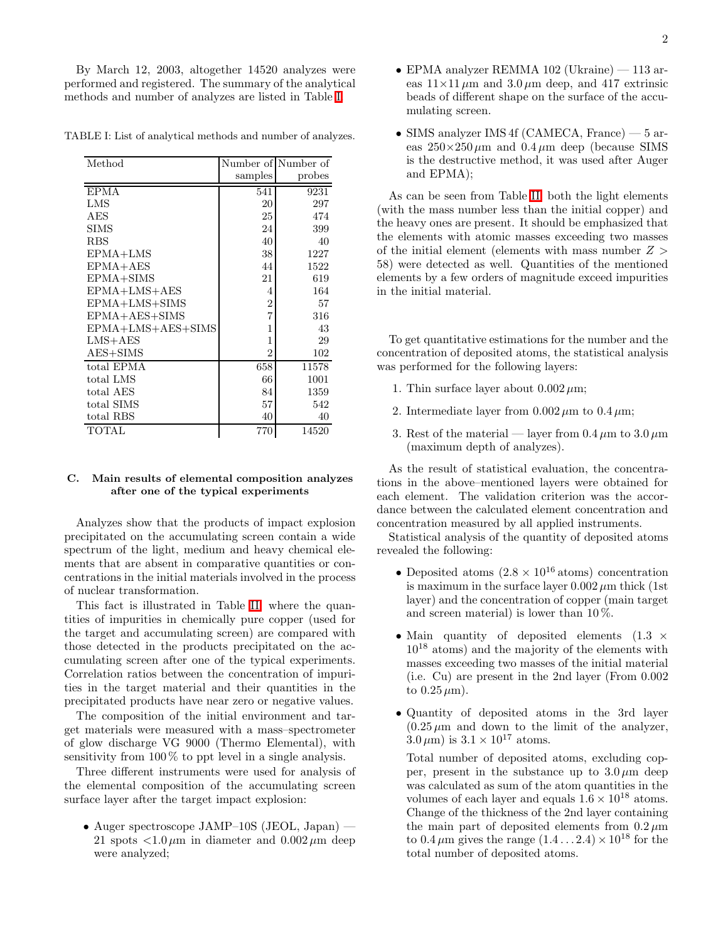By March 12, 2003, altogether 14520 analyzes were performed and registered. The summary of the analytical methods and number of analyzes are listed in Table [I.](#page-1-0)

<span id="page-1-0"></span>TABLE I: List of analytical methods and number of analyzes.

| Method               |                | Number of Number of |
|----------------------|----------------|---------------------|
|                      | samples        | probes              |
| <b>EPMA</b>          | 541            | 9231                |
| LMS                  | 20             | 297                 |
| AES                  | 25             | 474                 |
| <b>SIMS</b>          | 24             | 399                 |
| <b>RBS</b>           | 40             | 40                  |
| EPMA+LMS             | 38             | 1227                |
| $E PMA+AES$          | 44             | 1522                |
| $EPMA + SIMS$        | 21             | 619                 |
| $EPMA+LMS+AES$       | 4              | 164                 |
| EPMA+LMS+SIMS        | $\overline{2}$ | 57                  |
| $E PMA + AES + SIMS$ | $\overline{7}$ | 316                 |
| EPMA+LMS+AES+SIMS    | 1              | 43                  |
| $LMS+AES$            | 1              | 29                  |
| $AES + SIMS$         | $\overline{2}$ | 102                 |
| total EPMA           | 658            | 11578               |
| total LMS            | 66             | 1001                |
| total AES            | 84             | 1359                |
| total SIMS           | 57             | 542                 |
| total RBS            | 40             | 40                  |
| <b>TOTAL</b>         | 770            | 14520               |

## C. Main results of elemental composition analyzes after one of the typical experiments

Analyzes show that the products of impact explosion precipitated on the accumulating screen contain a wide spectrum of the light, medium and heavy chemical elements that are absent in comparative quantities or concentrations in the initial materials involved in the process of nuclear transformation.

This fact is illustrated in Table [II,](#page-2-0) where the quantities of impurities in chemically pure copper (used for the target and accumulating screen) are compared with those detected in the products precipitated on the accumulating screen after one of the typical experiments. Correlation ratios between the concentration of impurities in the target material and their quantities in the precipitated products have near zero or negative values.

The composition of the initial environment and target materials were measured with a mass–spectrometer of glow discharge VG 9000 (Thermo Elemental), with sensitivity from  $100\%$  to ppt level in a single analysis.

Three different instruments were used for analysis of the elemental composition of the accumulating screen surface layer after the target impact explosion:

• Auger spectroscope JAMP–10S (JEOL, Japan) — 21 spots  $\langle 1.0 \mu m \rangle$  in diameter and  $0.002 \mu m$  deep were analyzed;

- EPMA analyzer REMMA 102 (Ukraine) 113 areas  $11\times11 \mu m$  and  $3.0 \mu m$  deep, and 417 extrinsic beads of different shape on the surface of the accumulating screen.
- SIMS analyzer IMS 4f (CAMECA, France) 5 areas  $250\times250 \,\mu m$  and  $0.4 \,\mu m$  deep (because SIMS) is the destructive method, it was used after Auger and EPMA);

As can be seen from Table [II,](#page-2-0) both the light elements (with the mass number less than the initial copper) and the heavy ones are present. It should be emphasized that the elements with atomic masses exceeding two masses of the initial element (elements with mass number  $Z >$ 58) were detected as well. Quantities of the mentioned elements by a few orders of magnitude exceed impurities in the initial material.

To get quantitative estimations for the number and the concentration of deposited atoms, the statistical analysis was performed for the following layers:

- 1. Thin surface layer about  $0.002 \mu m$ ;
- 2. Intermediate layer from  $0.002 \mu m$  to  $0.4 \mu m$ ;
- 3. Rest of the material layer from  $0.4 \mu m$  to  $3.0 \mu m$ (maximum depth of analyzes).

As the result of statistical evaluation, the concentrations in the above–mentioned layers were obtained for each element. The validation criterion was the accordance between the calculated element concentration and concentration measured by all applied instruments.

Statistical analysis of the quantity of deposited atoms revealed the following:

- Deposited atoms  $(2.8 \times 10^{16} \text{ atoms})$  concentration is maximum in the surface layer  $0.002 \mu m$  thick (1st layer) and the concentration of copper (main target and screen material) is lower than  $10\%$ .
- Main quantity of deposited elements  $(1.3 \times$  $10^{18}$  atoms) and the majority of the elements with masses exceeding two masses of the initial material (i.e. Cu) are present in the 2nd layer (From 0.002 to  $0.25 \,\mu\text{m}$ ).
- Quantity of deposited atoms in the 3rd layer  $(0.25 \,\mu\text{m}$  and down to the limit of the analyzer,  $3.0 \,\mu{\rm m}$ ) is  $3.1 \times 10^{17}$  atoms.

Total number of deposited atoms, excluding copper, present in the substance up to  $3.0 \mu m$  deep was calculated as sum of the atom quantities in the volumes of each layer and equals  $1.6 \times 10^{18}$  atoms. Change of the thickness of the 2nd layer containing the main part of deposited elements from  $0.2 \mu m$ to  $0.4 \,\mu\text{m}$  gives the range  $(1.4 \dots 2.4) \times 10^{18}$  for the total number of deposited atoms.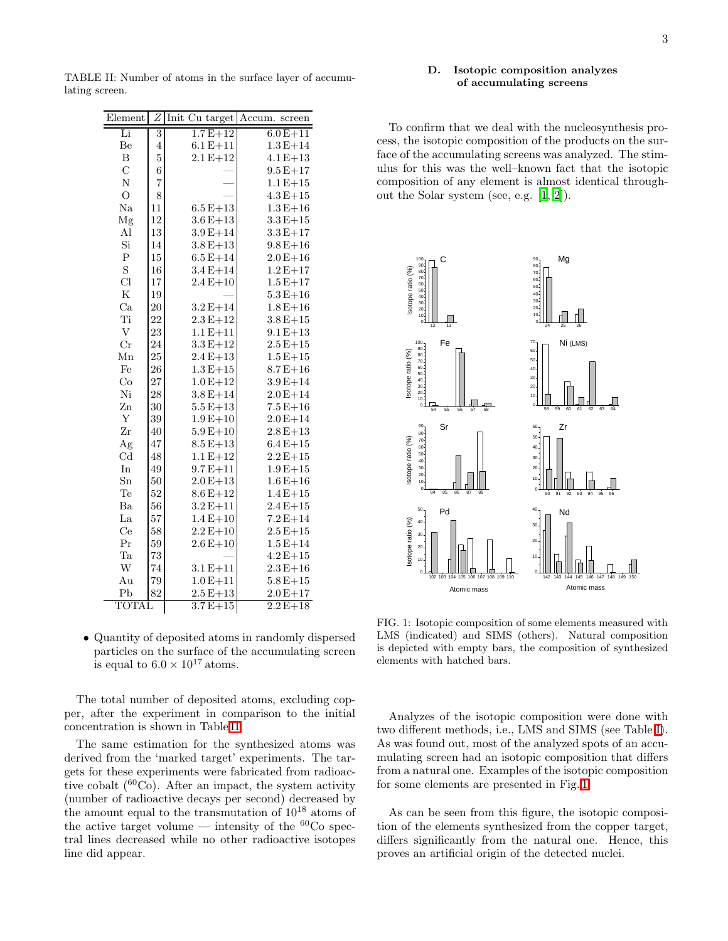<span id="page-2-0"></span>TABLE II: Number of atoms in the surface layer of accumulating screen.

| Element                   | Ζ              | Init Cu target | $\rm Accum.$<br>screen |
|---------------------------|----------------|----------------|------------------------|
| Li                        | $\overline{3}$ | $1.7E + 12$    | $6.0E + 11$            |
| Be                        | $\overline{4}$ | $6.1 E + 11$   | $1.3E + 14$            |
| $\boldsymbol{B}$          | $\overline{5}$ | $2.1 E + 12$   | $4.1 E + 13$           |
| $\overline{C}$            | $\overline{6}$ |                | $9.5E + 17$            |
| $\overline{\rm N}$        | $\overline{7}$ |                | $1.1 E + 15$           |
| $\overline{O}$            | 8              |                | $4.3E + 15$            |
| Na                        | 11             | $6.5E+13$      | $1.3E+16$              |
| Mg                        | 12             | $3.6E + 13$    | $3.3E + 15$            |
| Al                        | 13             | $3.9E + 14$    | $3.3E + 17$            |
| Si                        | 14             | $3.8E + 13$    | $9.8E + 16$            |
| $\mathbf P$               | 15             | $6.5E + 14$    | $2.0E + 16$            |
| $\rm S$                   | 16             | $3.4E + 14$    | $1.2E + 17$            |
| Cl                        | 17             | $2.4E+10$      | $1.5E + 17$            |
| ${\bf K}$                 | 19             |                | $5.3E + 16$            |
| Ca                        | 20             | $3.2 E + 14$   | $1.8E + 16$            |
| Ti                        | 22             | $2.3 E + 12$   | $3.8E + 15$            |
| $\ensuremath{\mathbf{V}}$ | 23             | $1.1 E + 11$   | $9.1 E + 13$           |
| $_{\rm Cr}$               | 24             | $3.3 E + 12$   | $2.5E + 15$            |
| Mn                        | 25             | $2.4E + 13$    | $1.5E + 15$            |
| Fe                        | 26             | $1.3 E + 15$   | $8.7E + 16$            |
| Co                        | 27             | $1.0 E + 12$   | $3.9E + 14$            |
| Ni                        | 28             | $3.8E + 14$    | $2.0E + 14$            |
| Zn                        | 30             | $5.5E + 13$    | $7.5E + 16$            |
| $\mathbf Y$               | 39             | $1.9E + 10$    | $2.0E + 14$            |
| Zr                        | 40             | $5.9E + 10$    | $2.8E + 13$            |
| Ag                        | 47             | $8.5E+13$      | $6.4E + 15$            |
| Cd                        | 48             | $1.1 E + 12$   | $2.2 E + 15$           |
| In                        | 49             | $9.7E + 11$    | $1.9E + 15$            |
| $\operatorname{Sn}$       | 50             | $2.0 E + 13$   | $1.6E + 16$            |
| Te                        | 52             | $8.6E+12$      | $1.4E + 15$            |
| Ba                        | 56             | $3.2 E + 11$   | $2.4E + 15$            |
| La                        | 57             | $1.4E + 10$    | $7.2E + 14$            |
| Ce                        | 58             | $2.2 E + 10$   | $2.5E + 15$            |
| Pr                        | 59             | $2.6E + 10$    | $1.5E + 14$            |
| Ta                        | 73             |                | $4.2 E + 15$           |
| W                         | 74             | $3.1 E + 11$   | $2.3E + 16$            |
| Au                        | 79             | $1.0E + 11$    | $5.8E + 15$            |
| P <sub>b</sub>            | 82             | $2.5E+13$      | $2.0E + 17$            |
| TOTAL                     |                | $3.7E + 15$    | $2.2E + 18$            |

• Quantity of deposited atoms in randomly dispersed particles on the surface of the accumulating screen is equal to  $6.0 \times 10^{17}$  atoms.

The total number of deposited atoms, excluding copper, after the experiment in comparison to the initial concentration is shown in Table II.

The same estimation for the synthesized atoms was derived from the 'marked target' experiments. The targets for these experiments were fabricated from radioactive cobalt  $(^{60}Co)$ . After an impact, the system activity (number of radioactive decays per second) decreased by the amount equal to the transmutation of  $10^{18}$  atoms of the active target volume — intensity of the  ${}^{60}Co$  spectral lines decreased while no other radioactive isotopes line did appear.

#### D. Isotopic composition analyzes of accumulating screens

To confirm that we deal with the nucleosynthesis process, the isotopic composition of the products on the surface of the accumulating screens was analyzed. The stimulus for this was the well-known fact that the isotopic composition of any element is almost identical throughout the Solar system (see, e.g.  $[1, 2]$ ).



<span id="page-2-1"></span>FIG. 1: Isotopic composition of some elements measured with LMS (indicated) and SIMS (others). Natural composition is depicted with empty bars, the composition of synthesized elements with hatched bars.

Analyzes of the isotopic composition were done with two different methods, i.e., LMS and SIMS (see Table I). As was found out, most of the analyzed spots of an accumulating screen had an isotopic composition that differs from a natural one. Examples of the isotopic composition for some elements are presented in Fig. 1.

As can be seen from this figure, the isotopic composition of the elements synthesized from the copper target, differs significantly from the natural one. Hence, this proves an artificial origin of the detected nuclei.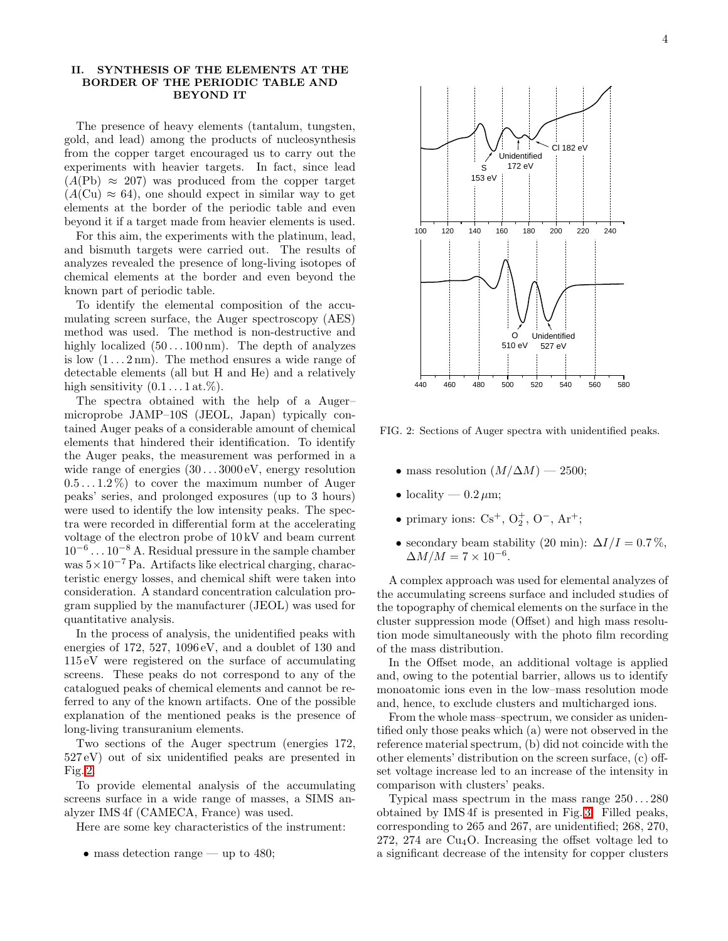## II. SYNTHESIS OF THE ELEMENTS AT THE BORDER OF THE PERIODIC TABLE AND BEYOND IT

The presence of heavy elements (tantalum, tungsten, gold, and lead) among the products of nucleosynthesis from the copper target encouraged us to carry out the experiments with heavier targets. In fact, since lead  $(A(\text{Pb}) \approx 207)$  was produced from the copper target  $(A(\text{Cu}) \approx 64)$ , one should expect in similar way to get elements at the border of the periodic table and even beyond it if a target made from heavier elements is used.

For this aim, the experiments with the platinum, lead, and bismuth targets were carried out. The results of analyzes revealed the presence of long-living isotopes of chemical elements at the border and even beyond the known part of periodic table.

To identify the elemental composition of the accumulating screen surface, the Auger spectroscopy (AES) method was used. The method is non-destructive and highly localized  $(50 \dots 100 \text{ nm})$ . The depth of analyzes is low  $(1 \dots 2 \text{ nm})$ . The method ensures a wide range of detectable elements (all but H and He) and a relatively high sensitivity  $(0.1 \ldots 1 \text{ at.}\%)$ .

The spectra obtained with the help of a Auger– microprobe JAMP–10S (JEOL, Japan) typically contained Auger peaks of a considerable amount of chemical elements that hindered their identification. To identify the Auger peaks, the measurement was performed in a wide range of energies  $(30...3000 \text{ eV})$ , energy resolution  $(0.5 \ldots 1.2\%)$  to cover the maximum number of Auger peaks' series, and prolonged exposures (up to 3 hours) were used to identify the low intensity peaks. The spectra were recorded in differential form at the accelerating voltage of the electron probe of 10 kV and beam current 10<sup>−</sup><sup>6</sup> . . . 10<sup>−</sup><sup>8</sup> A. Residual pressure in the sample chamber was 5×10<sup>−</sup><sup>7</sup> Pa. Artifacts like electrical charging, characteristic energy losses, and chemical shift were taken into consideration. A standard concentration calculation program supplied by the manufacturer (JEOL) was used for quantitative analysis.

In the process of analysis, the unidentified peaks with energies of 172, 527, 1096 eV, and a doublet of 130 and 115 eV were registered on the surface of accumulating screens. These peaks do not correspond to any of the catalogued peaks of chemical elements and cannot be referred to any of the known artifacts. One of the possible explanation of the mentioned peaks is the presence of long-living transuranium elements.

Two sections of the Auger spectrum (energies 172, 527 eV) out of six unidentified peaks are presented in Fig. [2.](#page-3-0)

To provide elemental analysis of the accumulating screens surface in a wide range of masses, a SIMS analyzer IMS 4f (CAMECA, France) was used.

Here are some key characteristics of the instrument:

• mass detection range — up to 480;

O 510 eV Unidentified 527 eV

<span id="page-3-0"></span>FIG. 2: Sections of Auger spectra with unidentified peaks.

- mass resolution  $(M/\Delta M)$  2500;
- locality  $0.2 \,\mu\text{m}$ ;
- primary ions:  $Cs^+, O_2^+, O^-, Ar^+;$
- secondary beam stability (20 min):  $\Delta I/I = 0.7\%$ ,  $\Delta M/M = 7 \times 10^{-6}.$

A complex approach was used for elemental analyzes of the accumulating screens surface and included studies of the topography of chemical elements on the surface in the cluster suppression mode (Offset) and high mass resolution mode simultaneously with the photo film recording of the mass distribution.

In the Offset mode, an additional voltage is applied and, owing to the potential barrier, allows us to identify monoatomic ions even in the low–mass resolution mode and, hence, to exclude clusters and multicharged ions.

From the whole mass–spectrum, we consider as unidentified only those peaks which (a) were not observed in the reference material spectrum, (b) did not coincide with the other elements' distribution on the screen surface, (c) offset voltage increase led to an increase of the intensity in comparison with clusters' peaks.

Typical mass spectrum in the mass range  $250...280$ obtained by IMS 4f is presented in Fig. [3.](#page-4-0) Filled peaks, corresponding to 265 and 267, are unidentified; 268, 270,  $272, 274$  are  $Cu<sub>4</sub>O$ . Increasing the offset voltage led to a significant decrease of the intensity for copper clusters

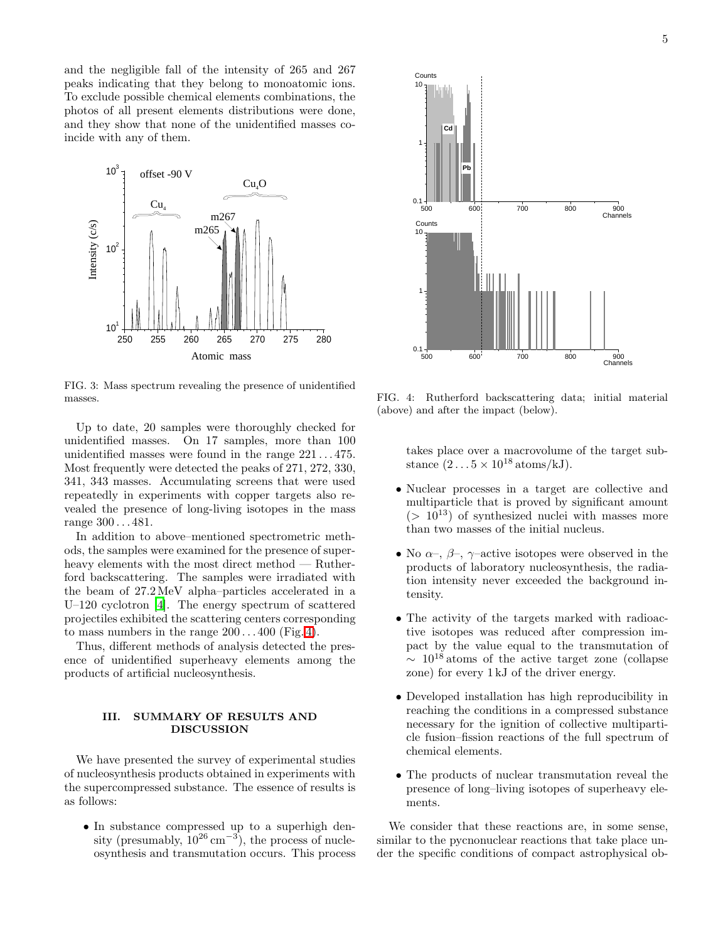and the negligible fall of the intensity of 265 and 267 peaks indicating that they belong to monoatomic ions. To exclude possible chemical elements combinations, the photos of all present elements distributions were done, and they show that none of the unidentified masses coincide with any of them.



<span id="page-4-0"></span>FIG. 3: Mass spectrum revealing the presence of unidentified masses.

Up to date, 20 samples were thoroughly checked for unidentified masses. On 17 samples, more than 100 unidentified masses were found in the range 221 . . . 475. Most frequently were detected the peaks of 271, 272, 330, 341, 343 masses. Accumulating screens that were used repeatedly in experiments with copper targets also revealed the presence of long-living isotopes in the mass range 300 . . . 481.

In addition to above–mentioned spectrometric methods, the samples were examined for the presence of superheavy elements with the most direct method — Rutherford backscattering. The samples were irradiated with the beam of 27.2MeV alpha–particles accelerated in a U–120 cyclotron [\[4](#page-5-2)]. The energy spectrum of scattered projectiles exhibited the scattering centers corresponding to mass numbers in the range  $200 \dots 400$  (Fig. [4\)](#page-4-1).

Thus, different methods of analysis detected the presence of unidentified superheavy elements among the products of artificial nucleosynthesis.

## III. SUMMARY OF RESULTS AND DISCUSSION

We have presented the survey of experimental studies of nucleosynthesis products obtained in experiments with the supercompressed substance. The essence of results is as follows:

• In substance compressed up to a superhigh density (presumably,  $10^{26}$  cm<sup>-3</sup>), the process of nucleosynthesis and transmutation occurs. This process



<span id="page-4-1"></span>FIG. 4: Rutherford backscattering data; initial material (above) and after the impact (below).

takes place over a macrovolume of the target substance  $(2 \dots 5 \times 10^{18} \text{ atoms/kJ}).$ 

- Nuclear processes in a target are collective and multiparticle that is proved by significant amount  $(> 10^{13})$  of synthesized nuclei with masses more than two masses of the initial nucleus.
- No  $\alpha$ –,  $\beta$ –,  $\gamma$ –active isotopes were observed in the products of laboratory nucleosynthesis, the radiation intensity never exceeded the background intensity.
- The activity of the targets marked with radioactive isotopes was reduced after compression impact by the value equal to the transmutation of  $\sim 10^{18}$  atoms of the active target zone (collapse zone) for every 1 kJ of the driver energy.
- Developed installation has high reproducibility in reaching the conditions in a compressed substance necessary for the ignition of collective multiparticle fusion–fission reactions of the full spectrum of chemical elements.
- The products of nuclear transmutation reveal the presence of long–living isotopes of superheavy elements.

We consider that these reactions are, in some sense, similar to the pycnonuclear reactions that take place under the specific conditions of compact astrophysical ob-